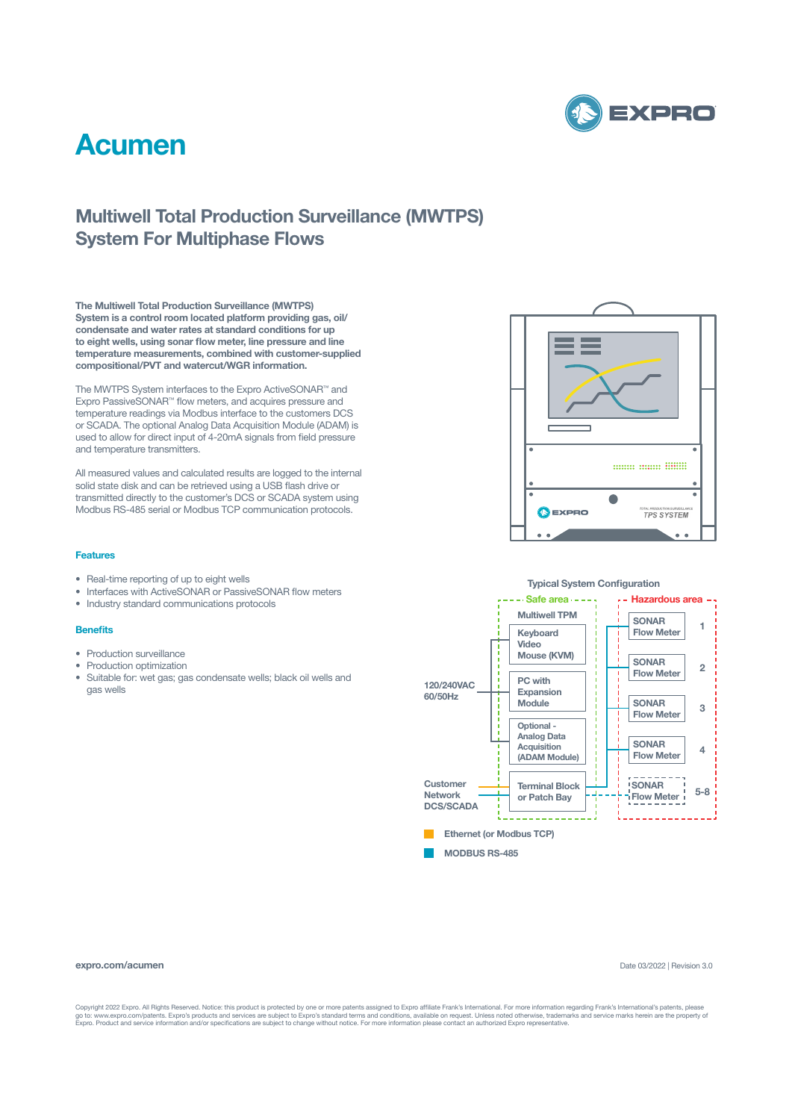

## **Acumen**

### **Multiwell Total Production Surveillance (MWTPS) System For Multiphase Flows**

**The Multiwell Total Production Surveillance (MWTPS) System is a control room located platform providing gas, oil/ condensate and water rates at standard conditions for up to eight wells, using sonar flow meter, line pressure and line temperature measurements, combined with customer-supplied compositional/PVT and watercut/WGR information.**

The MWTPS System interfaces to the Expro ActiveSONAR™ and Expro PassiveSONAR™ flow meters, and acquires pressure and temperature readings via Modbus interface to the customers DCS or SCADA. The optional Analog Data Acquisition Module (ADAM) is used to allow for direct input of 4-20mA signals from field pressure and temperature transmitters.

All measured values and calculated results are logged to the internal solid state disk and can be retrieved using a USB flash drive or transmitted directly to the customer's DCS or SCADA system using Modbus RS-485 serial or Modbus TCP communication protocols.

#### **Features**

- Real-time reporting of up to eight wells
- Interfaces with ActiveSONAR or PassiveSONAR flow meters
- Industry standard communications protocols

#### **Benefits**

- Production surveillance
- Production optimization
- Suitable for: wet gas; gas condensate wells; black oil wells and gas wells





#### **expro.com/acumen**

Date 03/2022 | Revision 3.0

Copyright 2022 Expro. All Rights Reserved. Notice: this product is protected by one or more patents assigned to Expro affiliate Frank's International. For more information regarding Frank's International's patents, please<br>